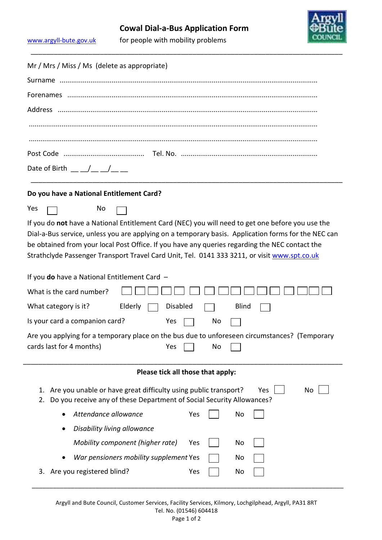\_\_\_\_\_\_\_\_\_\_\_\_\_\_\_\_\_\_\_\_\_\_\_\_\_\_\_\_\_\_\_\_\_\_\_\_\_\_\_\_\_\_\_\_\_\_\_\_\_\_\_\_\_\_\_\_\_\_\_\_\_\_\_\_\_\_\_\_\_\_\_\_\_\_\_\_\_\_\_\_\_



[www.argyll-bute.gov.uk](http://www.argyll-bute.gov.uk/)

| Mr / Mrs / Miss / Ms (delete as appropriate)                                                                                                                      |  |  |  |  |  |  |
|-------------------------------------------------------------------------------------------------------------------------------------------------------------------|--|--|--|--|--|--|
|                                                                                                                                                                   |  |  |  |  |  |  |
|                                                                                                                                                                   |  |  |  |  |  |  |
|                                                                                                                                                                   |  |  |  |  |  |  |
|                                                                                                                                                                   |  |  |  |  |  |  |
|                                                                                                                                                                   |  |  |  |  |  |  |
|                                                                                                                                                                   |  |  |  |  |  |  |
|                                                                                                                                                                   |  |  |  |  |  |  |
| Date of Birth $\underline{\qquad \qquad }$ $\underline{\qquad \qquad }$ $\underline{\qquad \qquad }$                                                              |  |  |  |  |  |  |
| Do you have a National Entitlement Card?                                                                                                                          |  |  |  |  |  |  |
| Yes<br>No                                                                                                                                                         |  |  |  |  |  |  |
| If you do not have a National Entitlement Card (NEC) you will need to get one before you use the                                                                  |  |  |  |  |  |  |
| Dial-a-Bus service, unless you are applying on a temporary basis. Application forms for the NEC can                                                               |  |  |  |  |  |  |
| be obtained from your local Post Office. If you have any queries regarding the NEC contact the                                                                    |  |  |  |  |  |  |
| Strathclyde Passenger Transport Travel Card Unit, Tel. 0141 333 3211, or visit www.spt.co.uk                                                                      |  |  |  |  |  |  |
| If you do have a National Entitlement Card -                                                                                                                      |  |  |  |  |  |  |
| What is the card number?                                                                                                                                          |  |  |  |  |  |  |
| What category is it?<br>Elderly<br><b>Disabled</b><br><b>Blind</b>                                                                                                |  |  |  |  |  |  |
| Is your card a companion card?<br>Yes<br>No                                                                                                                       |  |  |  |  |  |  |
| Are you applying for a temporary place on the bus due to unforeseen circumstances? (Temporary                                                                     |  |  |  |  |  |  |
| cards last for 4 months) Ves<br>No                                                                                                                                |  |  |  |  |  |  |
|                                                                                                                                                                   |  |  |  |  |  |  |
| Please tick all those that apply:                                                                                                                                 |  |  |  |  |  |  |
| Are you unable or have great difficulty using public transport?<br>Yes<br>No<br>1.<br>Do you receive any of these Department of Social Security Allowances?<br>2. |  |  |  |  |  |  |
| Attendance allowance<br>Yes<br>No                                                                                                                                 |  |  |  |  |  |  |
| Disability living allowance                                                                                                                                       |  |  |  |  |  |  |
| Mobility component (higher rate)<br>No<br>Yes                                                                                                                     |  |  |  |  |  |  |
| War pensioners mobility supplement Yes<br>No                                                                                                                      |  |  |  |  |  |  |
| Are you registered blind?<br>Yes<br>No<br>3.                                                                                                                      |  |  |  |  |  |  |

\_\_\_\_\_\_\_\_\_\_\_\_\_\_\_\_\_\_\_\_\_\_\_\_\_\_\_\_\_\_\_\_\_\_\_\_\_\_\_\_\_\_\_\_\_\_\_\_\_\_\_\_\_\_\_\_\_\_\_\_\_\_\_\_\_\_\_\_\_\_\_\_\_\_\_\_\_\_\_\_\_\_\_\_\_\_\_\_